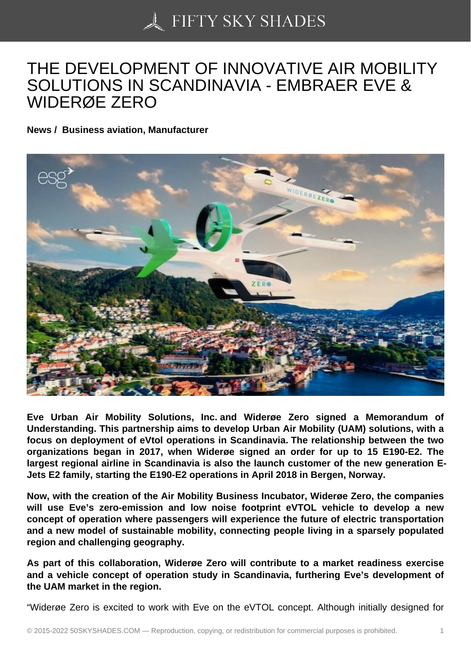## [THE DEVELOPMENT](https://50skyshades.com) OF INNOVATIVE AIR MOBILITY SOLUTIONS IN SCANDINAVIA - EMBRAER EVE & WIDERØE ZERO

News / Business aviation, Manufacturer

Eve Urban Air Mobility Solutions, Inc. and Widerøe Zero signed a Memorandum of Understanding. This partnership aims to develop Urban Air Mobility (UAM) solutions, with a focus on deployment of eVtol operations in Scandinavia. The relationship between the two organizations began in 2017, when Widerøe signed an order for up to 15 E190-E2. The largest regional airline in Scandinavia is also the launch customer of the new generation E-Jets E2 family, starting the E190-E2 operations in April 2018 in Bergen, Norway.

Now, with the creation of the Air Mobility Business Incubator, Widerøe Zero, the companies will use Eve's zero-emission and low noise footprint eVTOL vehicle to develop a new concept of operation where passengers will experience the future of electric transportation and a new model of sustainable mobility, connecting people living in a sparsely populated region and challenging geography.

As part of this collaboration, Widerøe Zero will contribute to a market readiness exercise and a vehicle concept of operation study in Scandinavia, furthering Eve's development of the UAM market in the region.

"Widerøe Zero is excited to work with Eve on the eVTOL concept. Although initially designed for